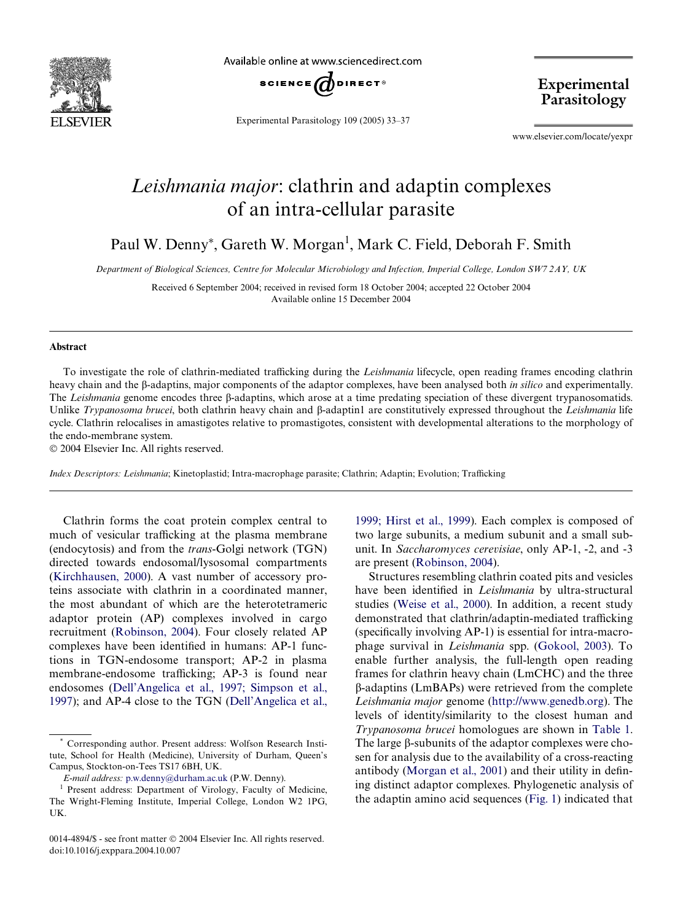

Available online at www.sciencedirect.com



Experimental Parasitology 109 (2005) 33–37

Experimental Parasitology

www.elsevier.com/locate/yexpr

## *Leishmania major*: clathrin and adaptin complexes of an intra-cellular parasite

Paul W. Denny\*, Gareth W. Morgan<sup>1</sup>, Mark C. Field, Deborah F. Smith

*Department of Biological Sciences, Centre for Molecular Microbiology and Infection, Imperial College, London SW7 2AY, UK*

Received 6 September 2004; received in revised form 18 October 2004; accepted 22 October 2004 Available online 15 December 2004

## **Abstract**

To investigate the role of clathrin-mediated trafficking during the *Leishmania* lifecycle, open reading frames encoding clathrin heavy chain and the  $\beta$ -adaptins, major components of the adaptor complexes, have been analysed both *in silico* and experimentally. The *Leishmania* genome encodes three  $\beta$ -adaptins, which arose at a time predating speciation of these divergent trypanosomatids. Unlike *Trypanosoma brucei*, both clathrin heavy chain and  $\beta$ -adaptin1 are constitutively expressed throughout the *Leishmania* life cycle. Clathrin relocalises in amastigotes relative to promastigotes, consistent with developmental alterations to the morphology of the endo-membrane system.

2004 Elsevier Inc. All rights reserved.

*Index Descriptors: Leishmania*; Kinetoplastid; Intra-macrophage parasite; Clathrin; Adaptin; Evolution; Trafficking

Clathrin forms the coat protein complex central to much of vesicular trafficking at the plasma membrane (endocytosis) and from the *trans*-Golgi network (TGN) directed towards endosomal/lysosomal compartments ([Kirchhausen, 2000\)](#page-3-0). A vast number of accessory proteins associate with clathrin in a coordinated manner, the most abundant of which are the heterotetrameric adaptor protein (AP) complexes involved in cargo recruitment [\(Robinson, 2004](#page-3-1)). Four closely related AP complexes have been identified in humans: AP-1 functions in TGN-endosome transport; AP-2 in plasma membrane-endosome trafficking; AP-3 is found near endosomes [\(Dell'Angelica et al., 1997; Simpson et al.,](#page-3-2) [1997\)](#page-3-2); and AP-4 close to the TGN ([Dell'Angelica et al.,](#page-3-3)

[1999; Hirst et al., 1999](#page-3-3)). Each complex is composed of two large subunits, a medium subunit and a small subunit. In *Saccharomyces cerevisiae*, only AP-1, -2, and -3 are present [\(Robinson, 2004\)](#page-3-1).

Structures resembling clathrin coated pits and vesicles have been identified in *Leishmania* by ultra-structural studies [\(Weise et al., 2000\)](#page-4-0). In addition, a recent study demonstrated that clathrin/adaptin-mediated trafficking  $(s$  pecifically involving AP-1) is essential for intra-macrophage survival in *Leishmania* spp. ([Gokool, 2003](#page-3-4)). To enable further analysis, the full-length open reading frames for clathrin heavy chain (LmCHC) and the three -adaptins (LmBAPs) were retrieved from the complete *Leishmania major* genome (<http://www.genedb.org>). The levels of identity/similarity to the closest human and *Trypanosoma brucei* homologues are shown in [Table 1](#page-1-0). The large  $\beta$ -subunits of the adaptor complexes were chosen for analysis due to the availability of a cross-reacting antibody (Morgan et al.,  $2001$ ) and their utility in defining distinct adaptor complexes. Phylogenetic analysis of the adaptin amino acid sequences ([Fig. 1\)](#page-1-1) indicated that

<sup>\*</sup> Corresponding author. Present address: Wolfson Research Institute, School for Health (Medicine), University of Durham, Queen's Campus, Stockton-on-Tees TS17 6BH, UK.

*E-mail address:* [p.w.denny@durham.ac.uk](mailto: p.w.denny@durham.ac.uk) (P.W. Denny).

<sup>&</sup>lt;sup>1</sup> Present address: Department of Virology, Faculty of Medicine, The Wright-Fleming Institute, Imperial College, London W2 1PG, UK.

<sup>0014-4894/\$ -</sup> see front matter © 2004 Elsevier Inc. All rights reserved. doi:10.1016/j.exppara.2004.10.007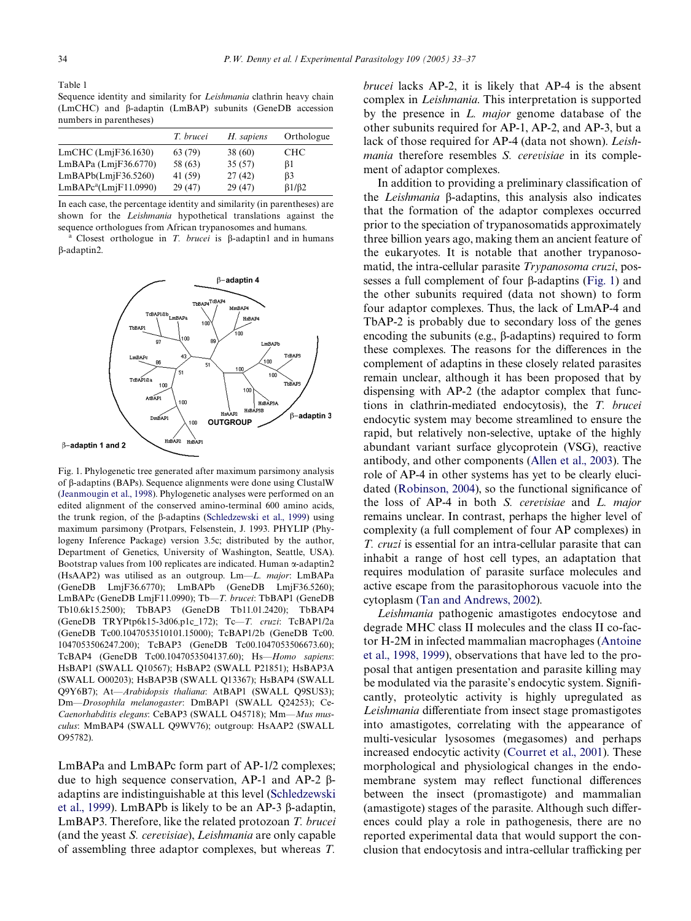<span id="page-1-0"></span>Table 1 Sequence identity and similarity for *Leishmania* clathrin heavy chain  $(LmCHC)$  and  $\beta$ -adaptin  $(LmBAP)$  subunits (GeneDB accession numbers in parentheses)

|                                   | T. brucei | H. sapiens | Orthologue           |
|-----------------------------------|-----------|------------|----------------------|
| $LmCHC$ ( $Lm$ $F36.1630$ )       | 63 (79)   | 38(60)     | <b>CHC</b>           |
| $LmBAPa$ ( $LmiF36.6770$ )        | 58 (63)   | 35(57)     | βl                   |
| LmBAPb(Lm)F36.5260                | 41 (59)   | 27(42)     | B3                   |
| LmBAPc <sup>a</sup> (LmjF11.0990) | 29(47)    | 29(47)     | $\beta$ 1/ $\beta$ 2 |

In each case, the percentage identity and similarity (in parentheses) are shown for the *Leishmania* hypothetical translations against the sequence orthologues from African trypanosomes and humans.

<sup>a</sup> Closest orthologue in *T. brucei* is  $\beta$ -adaptin1 and in humans -adaptin2.



<span id="page-1-1"></span>Fig. 1. Phylogenetic tree generated after maximum parsimony analysis of B-adaptins (BAPs). Sequence alignments were done using ClustalW ([Jeanmougin et al., 1998\)](#page-3-6). Phylogenetic analyses were performed on an edited alignment of the conserved amino-terminal 600 amino acids, the trunk region, of the  $\beta$ -adaptins [\(Schledzewski et al., 1999](#page-3-7)) using maximum parsimony (Protpars, Felsenstein, J. 1993. PHYLIP (Phylogeny Inference Package) version 3.5c; distributed by the author, Department of Genetics, University of Washington, Seattle, USA). Bootstrap values from 100 replicates are indicated. Human  $\alpha$ -adaptin2 (HsAAP2) was utilised as an outgroup. Lm—*L. major*: LmBAPa (GeneDB LmjF36.6770); LmBAPb (GeneDB LmjF36.5260); LmBAPc (GeneDB LmjF11.0990); Tb—*T. brucei*: TbBAP1 (GeneDB Tb10.6k15.2500); TbBAP3 (GeneDB Tb11.01.2420); TbBAP4 (GeneDB TRYPtp6k15-3d06.p1c\_172); Tc—*T. cruzi*: TcBAP1/2a (GeneDB Tc00.1047053510101.15000); TcBAP1/2b (GeneDB Tc00. 1047053506247.200); TcBAP3 (GeneDB Tc00.1047053506673.60); TcBAP4 (GeneDB Tc00.1047053504137.60); Hs—*Homo sapiens*: HsBAP1 (SWALL Q10567); HsBAP2 (SWALL P21851); HsBAP3A (SWALL O00203); HsBAP3B (SWALL Q13367); HsBAP4 (SWALL Q9Y6B7); At—*Arabidopsis thaliana*: AtBAP1 (SWALL Q9SUS3); Dm—*Drosophila melanogaster*: DmBAP1 (SWALL Q24253); Ce-*Caenorhabditis elegans*: CeBAP3 (SWALL O45718); Mm—*Mus musculus*: MmBAP4 (SWALL Q9WV76); outgroup: HsAAP2 (SWALL O95782).

LmBAPa and LmBAPc form part of AP-1/2 complexes; due to high sequence conservation, AP-1 and AP-2  $\beta$ adaptins are indistinguishable at this level [\(Schledzewski](#page-3-7) [et al., 1999](#page-3-7)). LmBAPb is likely to be an AP-3  $\beta$ -adaptin, LmBAP3. Therefore, like the related protozoan *T. brucei* (and the yeast *S. cerevisiae*), *Leishmania* are only capable of assembling three adaptor complexes, but whereas *T.*

*brucei* lacks AP-2, it is likely that AP-4 is the absent complex in *Leishmania*. This interpretation is supported by the presence in *L. major* genome database of the other subunits required for AP-1, AP-2, and AP-3, but a lack of those required for AP-4 (data not shown). *Leishmania* therefore resembles *S. cerevisiae* in its complement of adaptor complexes.

In addition to providing a preliminary classification of the *Leishmania* B-adaptins, this analysis also indicates that the formation of the adaptor complexes occurred prior to the speciation of trypanosomatids approximately three billion years ago, making them an ancient feature of the eukaryotes. It is notable that another trypanosomatid, the intra-cellular parasite *Trypanosoma cruzi*, possesses a full complement of four  $\beta$ -adaptins ([Fig. 1](#page-1-1)) and the other subunits required (data not shown) to form four adaptor complexes. Thus, the lack of LmAP-4 and TbAP-2 is probably due to secondary loss of the genes encoding the subunits (e.g.,  $\beta$ -adaptins) required to form these complexes. The reasons for the differences in the complement of adaptins in these closely related parasites remain unclear, although it has been proposed that by dispensing with AP-2 (the adaptor complex that functions in clathrin-mediated endocytosis), the *T. brucei* endocytic system may become streamlined to ensure the rapid, but relatively non-selective, uptake of the highly abundant variant surface glycoprotein (VSG), reactive antibody, and other components [\(Allen et al., 2003](#page-3-8)). The role of AP-4 in other systems has yet to be clearly elucidated (Robinson,  $2004$ ), so the functional significance of the loss of AP-4 in both *S. cerevisiae* and *L. major* remains unclear. In contrast, perhaps the higher level of complexity (a full complement of four AP complexes) in *T. cruzi* is essential for an intra-cellular parasite that can inhabit a range of host cell types, an adaptation that requires modulation of parasite surface molecules and active escape from the parasitophorous vacuole into the cytoplasm ([Tan and Andrews, 2002\)](#page-4-1).

*Leishmania* pathogenic amastigotes endocytose and degrade MHC class II molecules and the class II co-factor H-2M in infected mammalian macrophages ([Antoine](#page-3-9) [et al., 1998, 1999\)](#page-3-9), observations that have led to the proposal that antigen presentation and parasite killing may be modulated via the parasite's endocytic system. Significantly, proteolytic activity is highly upregulated as *Leishmania* differentiate from insect stage promastigotes into amastigotes, correlating with the appearance of multi-vesicular lysosomes (megasomes) and perhaps increased endocytic activity [\(Courret et al., 2001\)](#page-3-10). These morphological and physiological changes in the endomembrane system may reflect functional differences between the insect (promastigote) and mammalian (amastigote) stages of the parasite. Although such differences could play a role in pathogenesis, there are no reported experimental data that would support the conclusion that endocytosis and intra-cellular trafficking per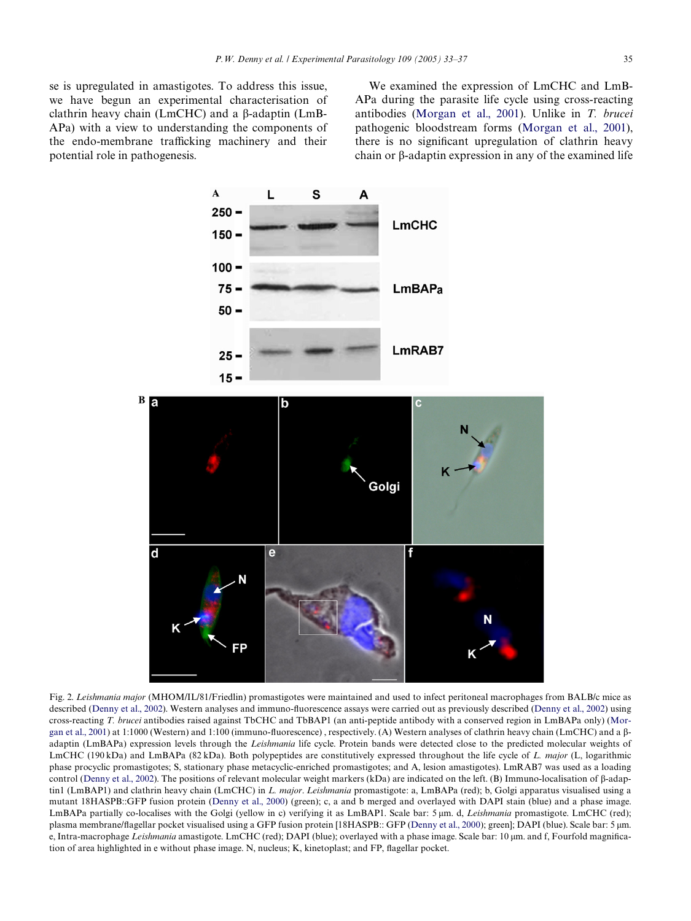se is upregulated in amastigotes. To address this issue, we have begun an experimental characterisation of clathrin heavy chain  $(LmCHC)$  and a  $\beta$ -adaptin  $(LmB-$ APa) with a view to understanding the components of the endo-membrane trafficking machinery and their potential role in pathogenesis.

We examined the expression of LmCHC and LmB-APa during the parasite life cycle using cross-reacting antibodies [\(Morgan et al., 2001\)](#page-3-5). Unlike in *T. brucei* pathogenic bloodstream forms ([Morgan et al., 2001\)](#page-3-5), there is no significant upregulation of clathrin heavy chain or  $\beta$ -adaptin expression in any of the examined life



<span id="page-2-0"></span>Fig. 2. *Leishmania major* (MHOM/IL/81/Friedlin) promastigotes were maintained and used to infect peritoneal macrophages from BALB/c mice as described [\(Denny et al., 2002](#page-3-11)). Western analyses and immuno-fluorescence assays were carried out as previously described (Denny et al., 2002) using cross-reacting *T. brucei* antibodies raised against TbCHC and TbBAP1 (an anti-peptide antibody with a conserved region in LmBAPa only) ([Mor](#page-3-5)[gan et al., 2001](#page-3-5)) at 1:1000 (Western) and 1:100 (immuno-fluorescence), respectively. (A) Western analyses of clathrin heavy chain (LmCHC) and a  $\beta$ adaptin (LmBAPa) expression levels through the *Leishmania* life cycle. Protein bands were detected close to the predicted molecular weights of LmCHC (190 kDa) and LmBAPa (82 kDa). Both polypeptides are constitutively expressed throughout the life cycle of *L. major* (L, logarithmic phase procyclic promastigotes; S, stationary phase metacyclic-enriched promastigotes; and A, lesion amastigotes). LmRAB7 was used as a loading control ([Denny et al., 2002\)](#page-3-11). The positions of relevant molecular weight markers (kDa) are indicated on the left. (B) Immuno-localisation of  $\beta$ -adaptin1 (LmBAP1) and clathrin heavy chain (LmCHC) in *L. major*. *Leishmania* promastigote: a, LmBAPa (red); b, Golgi apparatus visualised using a mutant 18HASPB::GFP fusion protein ([Denny et al., 2000](#page-3-12)) (green); c, a and b merged and overlayed with DAPI stain (blue) and a phase image. LmBAPa partially co-localises with the Golgi (yellow in c) verifying it as LmBAP1. Scale bar: 5 m. d, *Leishmania* promastigote. LmCHC (red); plasma membrane/flagellar pocket visualised using a GFP fusion protein [18HASPB:: GFP ([Denny et al., 2000](#page-3-12)); green]; DAPI (blue). Scale bar: 5 µm. e, Intra-macrophage *Leishmania* amastigote. LmCHC (red); DAPI (blue); overlayed with a phase image. Scale bar: 10 µm. and f, Fourfold magnification of area highlighted in e without phase image. N, nucleus; K, kinetoplast; and FP, flagellar pocket.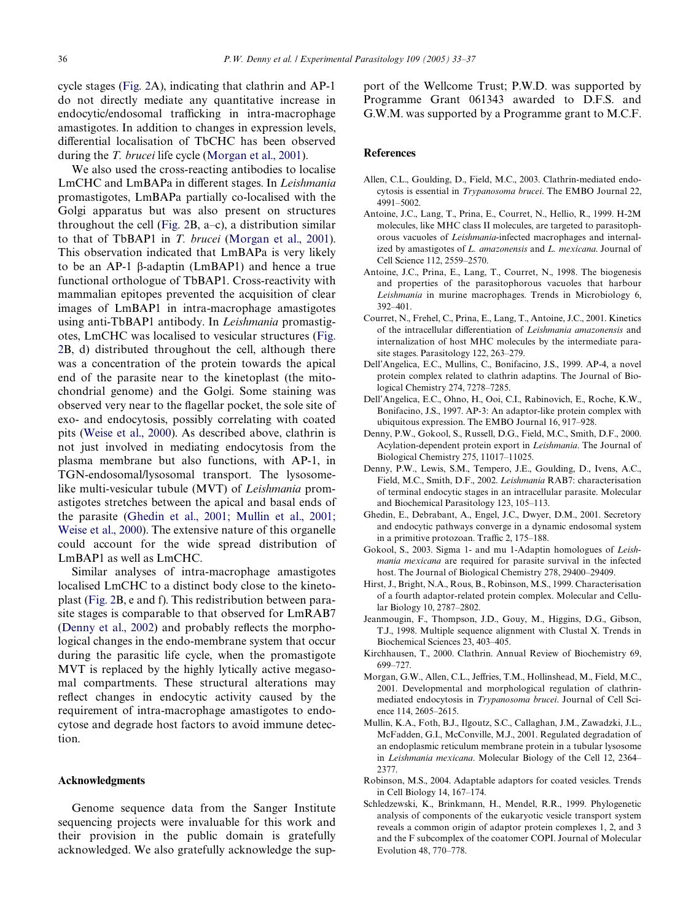cycle stages ([Fig. 2](#page-2-0)A), indicating that clathrin and AP-1 do not directly mediate any quantitative increase in endocytic/endosomal trafficking in intra-macrophage amastigotes. In addition to changes in expression levels, differential localisation of TbCHC has been observed during the *T. brucei* life cycle [\(Morgan et al., 2001](#page-3-5)).

We also used the cross-reacting antibodies to localise LmCHC and LmBAPa in different stages. In *Leishmania* promastigotes, LmBAPa partially co-localised with the Golgi apparatus but was also present on structures throughout the cell ([Fig. 2B](#page-2-0), a–c), a distribution similar to that of TbBAP1 in *T. brucei* [\(Morgan et al., 2001\)](#page-3-5). This observation indicated that LmBAPa is very likely to be an AP-1  $\beta$ -adaptin (LmBAP1) and hence a true functional orthologue of TbBAP1. Cross-reactivity with mammalian epitopes prevented the acquisition of clear images of LmBAP1 in intra-macrophage amastigotes using anti-TbBAP1 antibody. In *Leishmania* promastigotes, LmCHC was localised to vesicular structures ([Fig.](#page-2-0) [2B](#page-2-0), d) distributed throughout the cell, although there was a concentration of the protein towards the apical end of the parasite near to the kinetoplast (the mitochondrial genome) and the Golgi. Some staining was observed very near to the flagellar pocket, the sole site of exo- and endocytosis, possibly correlating with coated pits [\(Weise et al., 2000\)](#page-4-0). As described above, clathrin is not just involved in mediating endocytosis from the plasma membrane but also functions, with AP-1, in TGN-endosomal/lysosomal transport. The lysosomelike multi-vesicular tubule (MVT) of *Leishmania* promastigotes stretches between the apical and basal ends of the parasite ([Ghedin et al., 2001; Mullin et al., 2001;](#page-3-13) [Weise et al., 2000\)](#page-3-13). The extensive nature of this organelle could account for the wide spread distribution of LmBAP1 as well as LmCHC.

Similar analyses of intra-macrophage amastigotes localised LmCHC to a distinct body close to the kinetoplast [\(Fig. 2B](#page-2-0), e and f). This redistribution between parasite stages is comparable to that observed for LmRAB7 (Denny et al.,  $2002$ ) and probably reflects the morphological changes in the endo-membrane system that occur during the parasitic life cycle, when the promastigote MVT is replaced by the highly lytically active megasomal compartments. These structural alterations may reflect changes in endocytic activity caused by the requirement of intra-macrophage amastigotes to endocytose and degrade host factors to avoid immune detection.

## **Acknowledgments**

Genome sequence data from the Sanger Institute sequencing projects were invaluable for this work and their provision in the public domain is gratefully acknowledged. We also gratefully acknowledge the support of the Wellcome Trust; P.W.D. was supported by Programme Grant 061343 awarded to D.F.S. and G.W.M. was supported by a Programme grant to M.C.F.

## **References**

- <span id="page-3-8"></span>Allen, C.L., Goulding, D., Field, M.C., 2003. Clathrin-mediated endocytosis is essential in *Trypanosoma brucei*. The EMBO Journal 22, 4991–5002.
- Antoine, J.C., Lang, T., Prina, E., Courret, N., Hellio, R., 1999. H-2M molecules, like MHC class II molecules, are targeted to parasitophorous vacuoles of *Leishmania*-infected macrophages and internalized by amastigotes of *L. amazonensis* and *L. mexicana*. Journal of Cell Science 112, 2559–2570.
- <span id="page-3-9"></span>Antoine, J.C., Prina, E., Lang, T., Courret, N., 1998. The biogenesis and properties of the parasitophorous vacuoles that harbour *Leishmania* in murine macrophages. Trends in Microbiology 6, 392–401.
- <span id="page-3-10"></span>Courret, N., Frehel, C., Prina, E., Lang, T., Antoine, J.C., 2001. Kinetics of the intracellular diVerentiation of *Leishmania amazonensis* and internalization of host MHC molecules by the intermediate parasite stages. Parasitology 122, 263–279.
- <span id="page-3-3"></span>Dell'Angelica, E.C., Mullins, C., Bonifacino, J.S., 1999. AP-4, a novel protein complex related to clathrin adaptins. The Journal of Biological Chemistry 274, 7278–7285.
- <span id="page-3-2"></span>Dell'Angelica, E.C., Ohno, H., Ooi, C.I., Rabinovich, E., Roche, K.W., Bonifacino, J.S., 1997. AP-3: An adaptor-like protein complex with ubiquitous expression. The EMBO Journal 16, 917–928.
- <span id="page-3-12"></span>Denny, P.W., Gokool, S., Russell, D.G., Field, M.C., Smith, D.F., 2000. Acylation-dependent protein export in *Leishmania*. The Journal of Biological Chemistry 275, 11017–11025.
- <span id="page-3-11"></span>Denny, P.W., Lewis, S.M., Tempero, J.E., Goulding, D., Ivens, A.C., Field, M.C., Smith, D.F., 2002. *Leishmania* RAB7: characterisation of terminal endocytic stages in an intracellular parasite. Molecular and Biochemical Parasitology 123, 105–113.
- <span id="page-3-13"></span>Ghedin, E., Debrabant, A., Engel, J.C., Dwyer, D.M., 2001. Secretory and endocytic pathways converge in a dynamic endosomal system in a primitive protozoan. Traffic  $2$ ,  $175-188$ .
- <span id="page-3-4"></span>Gokool, S., 2003. Sigma 1- and mu 1-Adaptin homologues of *Leishmania mexicana* are required for parasite survival in the infected host. The Journal of Biological Chemistry 278, 29400–29409.
- Hirst, J., Bright, N.A., Rous, B., Robinson, M.S., 1999. Characterisation of a fourth adaptor-related protein complex. Molecular and Cellular Biology 10, 2787–2802.
- <span id="page-3-6"></span>Jeanmougin, F., Thompson, J.D., Gouy, M., Higgins, D.G., Gibson, T.J., 1998. Multiple sequence alignment with Clustal X. Trends in Biochemical Sciences 23, 403–405.
- <span id="page-3-0"></span>Kirchhausen, T., 2000. Clathrin. Annual Review of Biochemistry 69, 699–727.
- <span id="page-3-5"></span>Morgan, G.W., Allen, C.L., Jeffries, T.M., Hollinshead, M., Field, M.C., 2001. Developmental and morphological regulation of clathrinmediated endocytosis in *Trypanosoma brucei*. Journal of Cell Science 114, 2605–2615.
- Mullin, K.A., Foth, B.J., Ilgoutz, S.C., Callaghan, J.M., Zawadzki, J.L., McFadden, G.I., McConville, M.J., 2001. Regulated degradation of an endoplasmic reticulum membrane protein in a tubular lysosome in *Leishmania mexicana*. Molecular Biology of the Cell 12, 2364– 2377.
- <span id="page-3-1"></span>Robinson, M.S., 2004. Adaptable adaptors for coated vesicles. Trends in Cell Biology 14, 167–174.
- <span id="page-3-7"></span>Schledzewski, K., Brinkmann, H., Mendel, R.R., 1999. Phylogenetic analysis of components of the eukaryotic vesicle transport system reveals a common origin of adaptor protein complexes 1, 2, and 3 and the F subcomplex of the coatomer COPI. Journal of Molecular Evolution 48, 770–778.